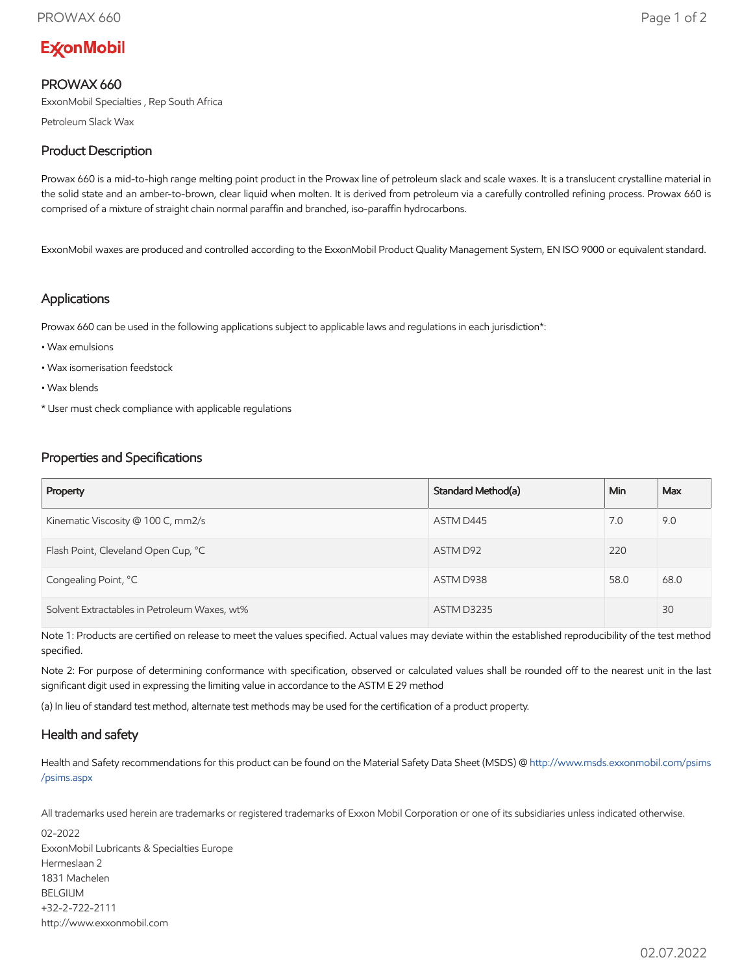# **ExconMobil**

# PROWAX 660

ExxonMobil Specialties , Rep South Africa

Petroleum Slack Wax

# Product Description

Prowax 660 is a mid-to-high range melting point product in the Prowax line of petroleum slack and scale waxes. It is a translucent crystalline material in the solid state and an amber-to-brown, clear liquid when molten. It is derived from petroleum via a carefully controlled refining process. Prowax 660 is comprised of a mixture of straight chain normal paraffin and branched, iso-paraffin hydrocarbons.

ExxonMobil waxes are produced and controlled according to the ExxonMobil Product Quality Management System, EN ISO 9000 or equivalent standard.

#### Applications

Prowax 660 can be used in the following applications subject to applicable laws and regulations in each jurisdiction\*:

- Wax emulsions
- Wax isomerisation feedstock
- Wax blends
- \* User must check compliance with applicable regulations

## Properties and Specifications

| Property                                     | Standard Method(a) | <b>Min</b> | Max  |
|----------------------------------------------|--------------------|------------|------|
| Kinematic Viscosity @ 100 C, mm2/s           | ASTM D445          | 7.0        | 9.0  |
| Flash Point, Cleveland Open Cup, °C          | ASTM D92           | 220        |      |
| Congealing Point, °C                         | ASTM D938          | 58.0       | 68.0 |
| Solvent Extractables in Petroleum Waxes, wt% | <b>ASTM D3235</b>  |            | 30   |

Note 1: Products are certified on release to meet the values specified. Actual values may deviate within the established reproducibility of the test method specified.

Note 2: For purpose of determining conformance with specification, observed or calculated values shall be rounded off to the nearest unit in the last significant digit used in expressing the limiting value in accordance to the ASTM E 29 method

(a) In lieu of standard test method, alternate test methods may be used for the certification of a product property.

## Health and safety

Health and Safety recommendations for this product can be found on the Material Safety Data Sheet (MSDS) @ [http://www.msds.exxonmobil.com/psims](http://www.msds.exxonmobil.com/psims/psims.aspx) /psims.aspx

All trademarks used herein are trademarks or registered trademarks of Exxon Mobil Corporation or one of its subsidiaries unless indicated otherwise.

02-2022 ExxonMobil Lubricants & Specialties Europe Hermeslaan 2 1831 Machelen BELGIUM +32-2-722-2111 http://www.exxonmobil.com